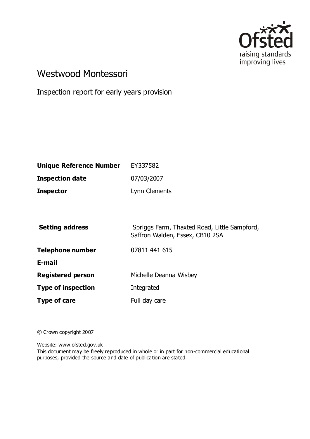

# Westwood Montessori

Inspection report for early years provision

| <b>Unique Reference Number</b> | EY337582      |
|--------------------------------|---------------|
| <b>Inspection date</b>         | 07/03/2007    |
| <b>Inspector</b>               | Lynn Clements |

| <b>Setting address</b>    | Spriggs Farm, Thaxted Road, Little Sampford,<br>Saffron Walden, Essex, CB10 2SA |
|---------------------------|---------------------------------------------------------------------------------|
| <b>Telephone number</b>   | 07811 441 615                                                                   |
| E-mail                    |                                                                                 |
| <b>Registered person</b>  | Michelle Deanna Wisbey                                                          |
| <b>Type of inspection</b> | Integrated                                                                      |
| Type of care              | Full day care                                                                   |

© Crown copyright 2007

Website: www.ofsted.gov.uk

This document may be freely reproduced in whole or in part for non-commercial educational purposes, provided the source and date of publication are stated.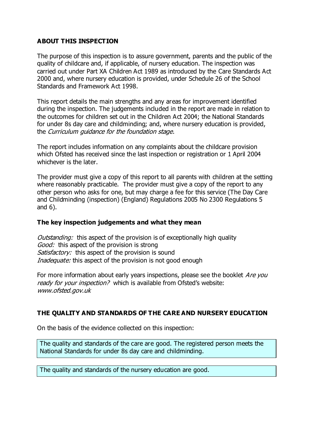# **ABOUT THIS INSPECTION**

The purpose of this inspection is to assure government, parents and the public of the quality of childcare and, if applicable, of nursery education. The inspection was carried out under Part XA Children Act 1989 as introduced by the Care Standards Act 2000 and, where nursery education is provided, under Schedule 26 of the School Standards and Framework Act 1998.

This report details the main strengths and any areas for improvement identified during the inspection. The judgements included in the report are made in relation to the outcomes for children set out in the Children Act 2004; the National Standards for under 8s day care and childminding; and, where nursery education is provided, the Curriculum guidance for the foundation stage.

The report includes information on any complaints about the childcare provision which Ofsted has received since the last inspection or registration or 1 April 2004 whichever is the later.

The provider must give a copy of this report to all parents with children at the setting where reasonably practicable. The provider must give a copy of the report to any other person who asks for one, but may charge a fee for this service (The Day Care and Childminding (inspection) (England) Regulations 2005 No 2300 Regulations 5 and 6).

#### **The key inspection judgements and what they mean**

Outstanding: this aspect of the provision is of exceptionally high quality Good: this aspect of the provision is strong Satisfactory: this aspect of the provision is sound Inadequate: this aspect of the provision is not good enough

For more information about early years inspections, please see the booklet *Are you* ready for your inspection? which is available from Ofsted's website: www.ofsted.gov.uk

# **THE QUALITY AND STANDARDS OF THE CARE AND NURSERY EDUCATION**

On the basis of the evidence collected on this inspection:

The quality and standards of the care are good. The registered person meets the National Standards for under 8s day care and childminding.

The quality and standards of the nursery education are good.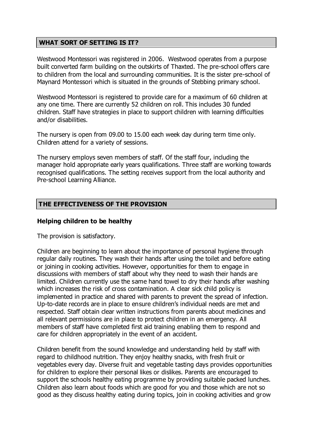# **WHAT SORT OF SETTING IS IT?**

Westwood Montessori was registered in 2006. Westwood operates from a purpose built converted farm building on the outskirts of Thaxted. The pre-school offers care to children from the local and surrounding communities. It is the sister pre-school of Maynard Montessori which is situated in the grounds of Stebbing primary school.

Westwood Montessori is registered to provide care for a maximum of 60 children at any one time. There are currently 52 children on roll. This includes 30 funded children. Staff have strategies in place to support children with learning difficulties and/or disabilities.

The nursery is open from 09.00 to 15.00 each week day during term time only. Children attend for a variety of sessions.

The nursery employs seven members of staff. Of the staff four, including the manager hold appropriate early years qualifications. Three staff are working towards recognised qualifications. The setting receives support from the local authority and Pre-school Learning Alliance.

#### **THE EFFECTIVENESS OF THE PROVISION**

#### **Helping children to be healthy**

The provision is satisfactory.

Children are beginning to learn about the importance of personal hygiene through regular daily routines. They wash their hands after using the toilet and before eating or joining in cooking activities. However, opportunities for them to engage in discussions with members of staff about why they need to wash their hands are limited. Children currently use the same hand towel to dry their hands after washing which increases the risk of cross contamination. A clear sick child policy is implemented in practice and shared with parents to prevent the spread of infection. Up-to-date records are in place to ensure children's individual needs are met and respected. Staff obtain clear written instructions from parents about medicines and all relevant permissions are in place to protect children in an emergency. All members of staff have completed first aid training enabling them to respond and care for children appropriately in the event of an accident.

Children benefit from the sound knowledge and understanding held by staff with regard to childhood nutrition. They enjoy healthy snacks, with fresh fruit or vegetables every day. Diverse fruit and vegetable tasting days provides opportunities for children to explore their personal likes or dislikes. Parents are encouraged to support the schools healthy eating programme by providing suitable packed lunches. Children also learn about foods which are good for you and those which are not so good as they discuss healthy eating during topics, join in cooking activities and grow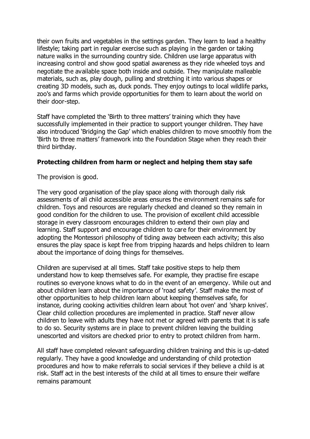their own fruits and vegetables in the settings garden. They learn to lead a healthy lifestyle; taking part in regular exercise such as playing in the garden or taking nature walks in the surrounding country side. Children use large apparatus with increasing control and show good spatial awareness as they ride wheeled toys and negotiate the available space both inside and outside. They manipulate malleable materials, such as, play dough, pulling and stretching it into various shapes or creating 3D models, such as, duck ponds. They enjoy outings to local wildlife parks, zoo's and farms which provide opportunities for them to learn about the world on their door-step.

Staff have completed the 'Birth to three matters' training which they have successfully implemented in their practice to support younger children. They have also introduced 'Bridging the Gap' which enables children to move smoothly from the 'Birth to three matters' framework into the Foundation Stage when they reach their third birthday.

#### **Protecting children from harm or neglect and helping them stay safe**

The provision is good.

The very good organisation of the play space along with thorough daily risk assessments of all child accessible areas ensures the environment remains safe for children. Toys and resources are regularly checked and cleaned so they remain in good condition for the children to use. The provision of excellent child accessible storage in every classroom encourages children to extend their own play and learning. Staff support and encourage children to care for their environment by adopting the Montessori philosophy of tiding away between each activity; this also ensures the play space is kept free from tripping hazards and helps children to learn about the importance of doing things for themselves.

Children are supervised at all times. Staff take positive steps to help them understand how to keep themselves safe. For example, they practise fire escape routines so everyone knows what to do in the event of an emergency. While out and about children learn about the importance of 'road safety'. Staff make the most of other opportunities to help children learn about keeping themselves safe, for instance, during cooking activities children learn about 'hot oven' and 'sharp knives'. Clear child collection procedures are implemented in practice. Staff never allow children to leave with adults they have not met or agreed with parents that it is safe to do so. Security systems are in place to prevent children leaving the building unescorted and visitors are checked prior to entry to protect children from harm.

All staff have completed relevant safeguarding children training and this is up-dated regularly. They have a good knowledge and understanding of child protection procedures and how to make referrals to social services if they believe a child is at risk. Staff act in the best interests of the child at all times to ensure their welfare remains paramount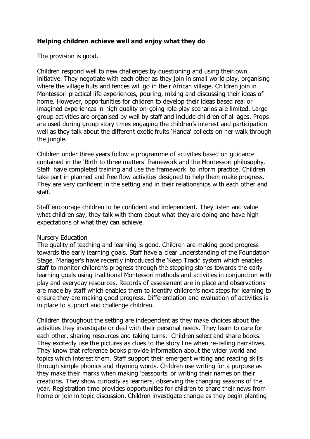# **Helping children achieve well and enjoy what they do**

The provision is good.

Children respond well to new challenges by questioning and using their own initiative. They negotiate with each other as they join in small world play, organising where the village huts and fences will go in their African village. Children join in Montessori practical life experiences, pouring, mixing and discussing their ideas of home. However, opportunities for children to develop their ideas based real or imagined experiences in high quality on-going role play scenarios are limited. Large group activities are organised by well by staff and include children of all ages. Props are used during group story times engaging the children's interest and participation well as they talk about the different exotic fruits 'Handa' collects on her walk through the jungle.

Children under three years follow a programme of activities based on guidance contained in the 'Birth to three matters' framework and the Montessori philosophy. Staff have completed training and use the framework to inform practice. Children take part in planned and free flow activities designed to help them make progress. They are very confident in the setting and in their relationships with each other and staff.

Staff encourage children to be confident and independent. They listen and value what children say, they talk with them about what they are doing and have high expectations of what they can achieve.

#### Nursery Education

The quality of teaching and learning is good. Children are making good progress towards the early learning goals. Staff have a clear understanding of the Foundation Stage. Manager's have recently introduced the 'Keep Track' system which enables staff to monitor children's progress through the stepping stones towards the early learning goals using traditional Montessori methods and activities in conjunction with play and everyday resources. Records of assessment are in place and observations are made by staff which enables them to identify children's next steps for learning to ensure they are making good progress. Differentiation and evaluation of activities is in place to support and challenge children.

Children throughout the setting are independent as they make choices about the activities they investigate or deal with their personal needs. They learn to care for each other, sharing resources and taking turns. Children select and share books. They excitedly use the pictures as clues to the story line when re-telling narratives. They know that reference books provide information about the wider world and topics which interest them. Staff support their emergent writing and reading skills through simple phonics and rhyming words. Children use writing for a purpose as they make their marks when making 'passports' or writing their names on their creations. They show curiosity as learners, observing the changing seasons of the year. Registration time provides opportunities for children to share their news from home or join in topic discussion. Children investigate change as they begin planting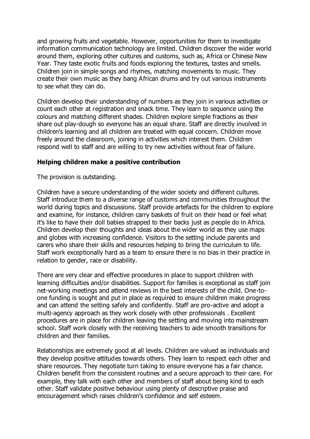and growing fruits and vegetable. However, opportunities for them to investigate information communication technology are limited. Children discover the wider world around them, exploring other cultures and customs, such as, Africa or Chinese New Year. They taste exotic fruits and foods exploring the textures, tastes and smells. Children join in simple songs and rhymes, matching movements to music. They create their own music as they bang African drums and try out various instruments to see what they can do.

Children develop their understanding of numbers as they join in various activities or count each other at registration and snack time. They learn to sequence using the colours and matching different shades. Children explore simple fractions as their share out play-dough so everyone has an equal share. Staff are directly involved in children's learning and all children are treated with equal concern. Children move freely around the classroom, joining in activities which interest them. Children respond well to staff and are willing to try new activities without fear of failure.

#### **Helping children make a positive contribution**

The provision is outstanding.

Children have a secure understanding of the wider society and different cultures. Staff introduce them to a diverse range of customs and communities throughout the world during topics and discussions. Staff provide artefacts for the children to explore and examine, for instance, children carry baskets of fruit on their head or feel what it's like to have their doll babies strapped to their backs just as people do in Africa. Children develop their thoughts and ideas about the wider world as they use maps and globes with increasing confidence. Visitors to the setting include parents and carers who share their skills and resources helping to bring the curriculum to life. Staff work exceptionally hard as a team to ensure there is no bias in their practice in relation to gender, race or disability.

There are very clear and effective procedures in place to support children with learning difficulties and/or disabilities. Support for families is exceptional as staff join net-working meetings and attend reviews in the best interests of the child. One-toone funding is sought and put in place as required to ensure children make progress and can attend the setting safely and confidently. Staff are pro-active and adopt a multi-agency approach as they work closely with other professionals . Excellent procedures are in place for children leaving the setting and moving into mainstream school. Staff work closely with the receiving teachers to aide smooth transitions for children and their families.

Relationships are extremely good at all levels. Children are valued as individuals and they develop positive attitudes towards others. They learn to respect each other and share resources. They negotiate turn taking to ensure everyone has a fair chance. Children benefit from the consistent routines and a secure approach to their care. For example, they talk with each other and members of staff about being kind to each other. Staff validate positive behaviour using plenty of descriptive praise and encouragement which raises children's confidence and self esteem.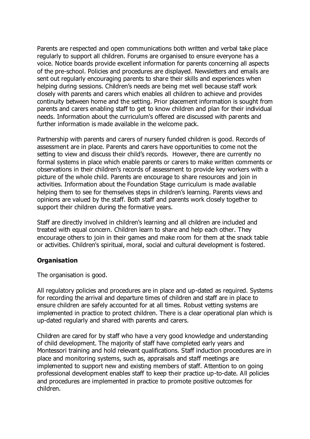Parents are respected and open communications both written and verbal take place regularly to support all children. Forums are organised to ensure everyone has a voice. Notice boards provide excellent information for parents concerning all aspects of the pre-school. Policies and procedures are displayed. Newsletters and emails are sent out regularly encouraging parents to share their skills and experiences when helping during sessions. Children's needs are being met well because staff work closely with parents and carers which enables all children to achieve and provides continuity between home and the setting. Prior placement information is sought from parents and carers enabling staff to get to know children and plan for their individual needs. Information about the curriculum's offered are discussed with parents and further information is made available in the welcome pack.

Partnership with parents and carers of nursery funded children is good. Records of assessment are in place. Parents and carers have opportunities to come not the setting to view and discuss their child's records. However, there are currently no formal systems in place which enable parents or carers to make written comments or observations in their children's records of assessment to provide key workers with a picture of the whole child. Parents are encourage to share resources and join in activities. Information about the Foundation Stage curriculum is made available helping them to see for themselves steps in children's learning. Parents views and opinions are valued by the staff. Both staff and parents work closely together to support their children during the formative years.

Staff are directly involved in children's learning and all children are included and treated with equal concern. Children learn to share and help each other. They encourage others to join in their games and make room for them at the snack table or activities. Children's spiritual, moral, social and cultural development is fostered.

# **Organisation**

The organisation is good.

All regulatory policies and procedures are in place and up-dated as required. Systems for recording the arrival and departure times of children and staff are in place to ensure children are safely accounted for at all times. Robust vetting systems are implemented in practice to protect children. There is a clear operational plan which is up-dated regularly and shared with parents and carers.

Children are cared for by staff who have a very good knowledge and understanding of child development. The majority of staff have completed early years and Montessori training and hold relevant qualifications. Staff induction procedures are in place and monitoring systems, such as, appraisals and staff meetings are implemented to support new and existing members of staff. Attention to on going professional development enables staff to keep their practice up-to-date. All policies and procedures are implemented in practice to promote positive outcomes for children.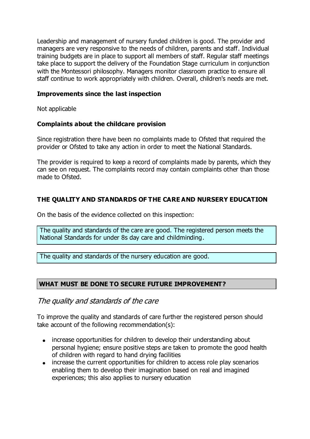Leadership and management of nursery funded children is good. The provider and managers are very responsive to the needs of children, parents and staff. Individual training budgets are in place to support all members of staff. Regular staff meetings take place to support the delivery of the Foundation Stage curriculum in conjunction with the Montessori philosophy. Managers monitor classroom practice to ensure all staff continue to work appropriately with children. Overall, children's needs are met.

#### **Improvements since the last inspection**

Not applicable

# **Complaints about the childcare provision**

Since registration there have been no complaints made to Ofsted that required the provider or Ofsted to take any action in order to meet the National Standards.

The provider is required to keep a record of complaints made by parents, which they can see on request. The complaints record may contain complaints other than those made to Ofsted.

# **THE QUALITY AND STANDARDS OF THE CARE AND NURSERY EDUCATION**

On the basis of the evidence collected on this inspection:

The quality and standards of the care are good. The registered person meets the National Standards for under 8s day care and childminding.

The quality and standards of the nursery education are good.

# **WHAT MUST BE DONE TO SECURE FUTURE IMPROVEMENT?**

The quality and standards of the care

To improve the quality and standards of care further the registered person should take account of the following recommendation(s):

- increase opportunities for children to develop their understanding about personal hygiene; ensure positive steps are taken to promote the good health of children with regard to hand drying facilities
- increase the current opportunities for children to access role play scenarios enabling them to develop their imagination based on real and imagined experiences; this also applies to nursery education